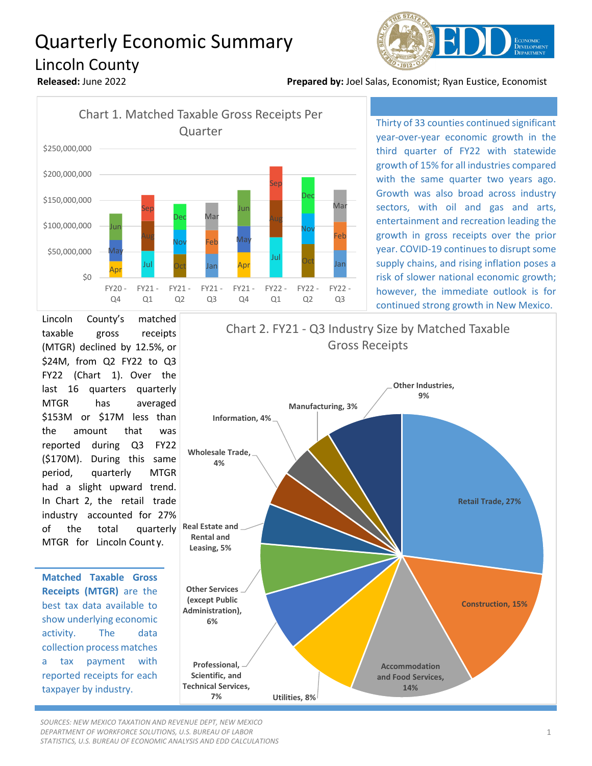## Quarterly Economic Summary Lincoln County



**Released:** June 2022 **Prepared by:** Joel Salas, Economist; Ryan Eustice, Economist



Thirty of 33 counties continued significant year-over-year economic growth in the third quarter of FY22 with statewide growth of 15% for all industries compared with the same quarter two years ago. Growth was also broad across industry sectors, with oil and gas and arts, entertainment and recreation leading the growth in gross receipts over the prior year. COVID-19 continues to disrupt some supply chains, and rising inflation poses a risk of slower national economic growth; however, the immediate outlook is for continued strong growth in New Mexico.

Lincoln County's matched taxable gross receipts (MTGR) declined by 12.5%, or \$24M, from Q2 FY22 to Q3 FY22 (Chart 1). Over the last 16 quarters quarterly MTGR has averaged \$153M or \$17M less than the amount that was reported during Q3 FY22 (\$170M). During this same period, quarterly MTGR had a slight upward trend. In Chart 2, the retail trade industry accounted for 27% of the total quarterly MTGR for Lincoln Count y.

**Matched Taxable Gross Receipts (MTGR)** are the best tax data available to show underlying economic activity. The data collection process matches a tax payment with reported receipts for each taxpayer by industry.



*SOURCES: NEW MEXICO TAXATION AND REVENUE DEPT, NEW MEXICO DEPARTMENT OF WORKFORCE SOLUTIONS, U.S. BUREAU OF LABOR STATISTICS, U.S. BUREAU OF ECONOMIC ANALYSIS AND EDD CALCULATIONS*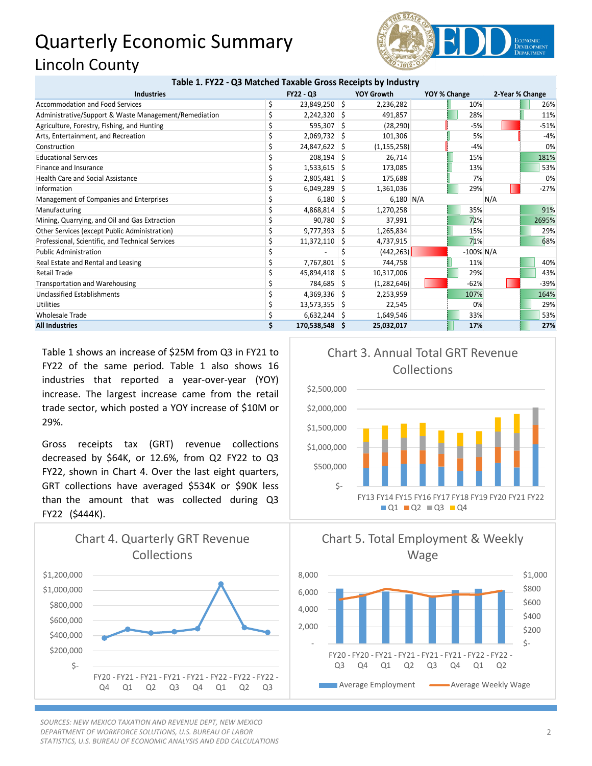## Quarterly Economic Summary Lincoln County **Table 1. FY22 - Q3 Matched Taxable Gross Receipts by Industry**



| Table 1. FTZZ - QS Matched Taxable Gross Receipts by Illudstry |                  |                |    |                   |              |              |                 |        |
|----------------------------------------------------------------|------------------|----------------|----|-------------------|--------------|--------------|-----------------|--------|
| <b>Industries</b>                                              | <b>FY22 - Q3</b> |                |    | <b>YOY Growth</b> | YOY % Change |              | 2-Year % Change |        |
| <b>Accommodation and Food Services</b>                         |                  | 23,849,250 \$  |    | 2,236,282         |              | 10%          |                 | 26%    |
| Administrative/Support & Waste Management/Remediation          |                  | $2,242,320$ \$ |    | 491,857           |              | 28%          |                 | 11%    |
| Agriculture, Forestry, Fishing, and Hunting                    |                  | 595,307 \$     |    | (28, 290)         |              | $-5%$        |                 | $-51%$ |
| Arts, Entertainment, and Recreation                            |                  | $2,069,732$ \$ |    | 101,306           |              | 5%           |                 | $-4%$  |
| Construction                                                   |                  | 24,847,622 \$  |    | (1, 155, 258)     |              | $-4%$        |                 | 0%     |
| <b>Educational Services</b>                                    |                  | $208,194$ \$   |    | 26,714            |              | 15%          |                 | 181%   |
| Finance and Insurance                                          |                  | $1,533,615$ \$ |    | 173,085           |              | 13%          |                 | 53%    |
| <b>Health Care and Social Assistance</b>                       |                  | $2,805,481$ \$ |    | 175,688           |              | 7%           |                 | 0%     |
| Information                                                    |                  | $6,049,289$ \$ |    | 1,361,036         |              | 29%          |                 | $-27%$ |
| Management of Companies and Enterprises                        |                  | 6,180          | -S | $6,180$ N/A       |              |              | N/A             |        |
| Manufacturing                                                  |                  | 4,868,814 \$   |    | 1,270,258         |              | 35%          |                 | 91%    |
| Mining, Quarrying, and Oil and Gas Extraction                  |                  | 90,780         | S  | 37,991            |              | 72%          |                 | 2695%  |
| Other Services (except Public Administration)                  |                  | 9,777,393      | -S | 1,265,834         |              | 15%          |                 | 29%    |
| Professional, Scientific, and Technical Services               |                  | 11,372,110     | -S | 4,737,915         |              | 71%          |                 | 68%    |
| <b>Public Administration</b>                                   |                  |                |    | (442, 263)        |              | $-100\%$ N/A |                 |        |
| Real Estate and Rental and Leasing                             |                  | 7,767,801      | S  | 744,758           |              | 11%          |                 | 40%    |
| <b>Retail Trade</b>                                            |                  | 45,894,418     | -S | 10,317,006        |              | 29%          |                 | 43%    |
| Transportation and Warehousing                                 |                  | 784,685 \$     |    | (1,282,646)       |              | $-62%$       |                 | $-39%$ |
| <b>Unclassified Establishments</b>                             |                  | $4,369,336$ \$ |    | 2,253,959         |              | 107%         |                 | 164%   |
| <b>Utilities</b>                                               |                  | 13,573,355     | -S | 22,545            |              | 0%           |                 | 29%    |
| <b>Wholesale Trade</b>                                         |                  | $6,632,244$ \$ |    | 1,649,546         |              | 33%          |                 | 53%    |
| <b>All Industries</b>                                          |                  | 170,538,548 \$ |    | 25,032,017        |              | 17%          |                 | 27%    |

Table 1 shows an increase of \$25M from Q3 in FY21 to FY22 of the same period. Table 1 also shows 16 industries that reported a year-over-year (YOY) increase. The largest increase came from the retail trade sector, which posted a YOY increase of \$10M or 29%.

Gross receipts tax (GRT) revenue collections decreased by \$64K, or 12.6%, from Q2 FY22 to Q3 FY22, shown in Chart 4. Over the last eight quarters, GRT collections have averaged \$534K or \$90K less than the amount that was collected during Q3 FY22 (\$444K).



*SOURCES: NEW MEXICO TAXATION AND REVENUE DEPT, NEW MEXICO DEPARTMENT OF WORKFORCE SOLUTIONS, U.S. BUREAU OF LABOR STATISTICS, U.S. BUREAU OF ECONOMIC ANALYSIS AND EDD CALCULATIONS*







2